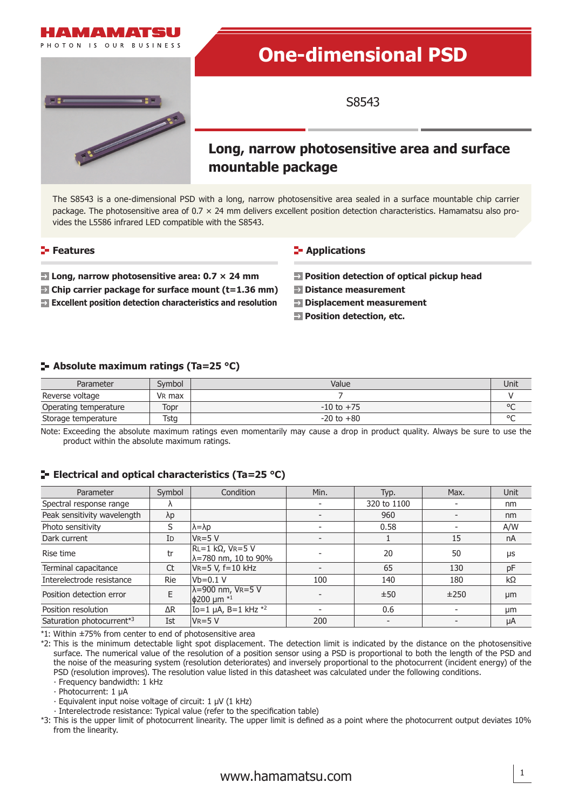

# **One-dimensional PSD**

S8543

### **Long, narrow photosensitive area and surface mountable package**

The S8543 is a one-dimensional PSD with a long, narrow photosensitive area sealed in a surface mountable chip carrier package. The photosensitive area of  $0.7 \times 24$  mm delivers excellent position detection characteristics. Hamamatsu also provides the L5586 infrared LED compatible with the S8543.

#### **Features**

**E** Long, narrow photosensitive area: 0.7  $\times$  24 mm

- **Chip carrier package for surface mount (t=1.36 mm)**
- **Excellent position detection characteristics and resolution**

#### **E-** Applications

- **Position detection of optical pickup head**
- **Distance measurement**
- **Displacement measurement**
- **Position detection, etc.**

#### **Absolute maximum ratings (Ta=25 °C)**

| Parameter             | Symbol             | Value          | Unit    |
|-----------------------|--------------------|----------------|---------|
| Reverse voltage       | V <sub>R</sub> max |                |         |
| Operating temperature | Topr               | $-10$ to $+75$ | $\circ$ |
| Storage temperature   | Tstg               | $-20$ to $+80$ | $\circ$ |

Note: Exceeding the absolute maximum ratings even momentarily may cause a drop in product quality. Always be sure to use the product within the absolute maximum ratings.

#### **E** Electrical and optical characteristics (Ta=25 °C)

| Parameter                   | Symbol      | Condition                                                             | Min.                     | Typ.        | Max. | Unit |
|-----------------------------|-------------|-----------------------------------------------------------------------|--------------------------|-------------|------|------|
| Spectral response range     | $\Lambda$   |                                                                       |                          | 320 to 1100 |      | nm   |
| Peak sensitivity wavelength | $\lambda p$ |                                                                       |                          | 960         |      | nm   |
| Photo sensitivity           | S           | $\lambda = \lambda p$                                                 |                          | 0.58        |      | A/W  |
| Dark current                | ID          | $V_R = 5 V$                                                           |                          |             | 15   | nA   |
| Rise time                   | tr          | $RL=1$ kΩ, VR=5 V<br>$\lambda = 780$ nm, 10 to 90%                    |                          | 20          | 50   | μs   |
| Terminal capacitance        | Ct          | $VR = 5 V, f = 10 kHz$                                                | $\overline{\phantom{a}}$ | 65          | 130  | pF   |
| Interelectrode resistance   | <b>Rie</b>  | $Vb=0.1$ V                                                            | 100                      | 140         | 180  | kΩ   |
| Position detection error    | E           | $\lambda = 900$ nm, $V_R = 5$ V<br>$ $ $\phi$ 200 µm $*$ <sup>1</sup> | $\overline{\phantom{0}}$ | ±50         | ±250 | µm   |
| Position resolution         | $\Delta R$  | Io=1 $\mu$ A, B=1 kHz $*2$                                            | $\overline{\phantom{a}}$ | 0.6         |      | µm   |
| Saturation photocurrent*3   | Ist         | $VR = 5V$                                                             | 200                      |             |      | μA   |

\*1: Within ±75% from center to end of photosensitive area

\*2: This is the minimum detectable light spot displacement. The detection limit is indicated by the distance on the photosensitive surface. The numerical value of the resolution of a position sensor using a PSD is proportional to both the length of the PSD and the noise of the measuring system (resolution deteriorates) and inversely proportional to the photocurrent (incident energy) of the PSD (resolution improves). The resolution value listed in this datasheet was calculated under the following conditions.

∙ Frequency bandwidth: 1 kHz

∙ Photocurrent: 1 μA

∙ Equivalent input noise voltage of circuit: 1 μV (1 kHz)

∙ Interelectrode resistance: Typical value (refer to the specification table)

\*3: This is the upper limit of photocurrent linearity. The upper limit is defined as a point where the photocurrent output deviates 10% from the linearity.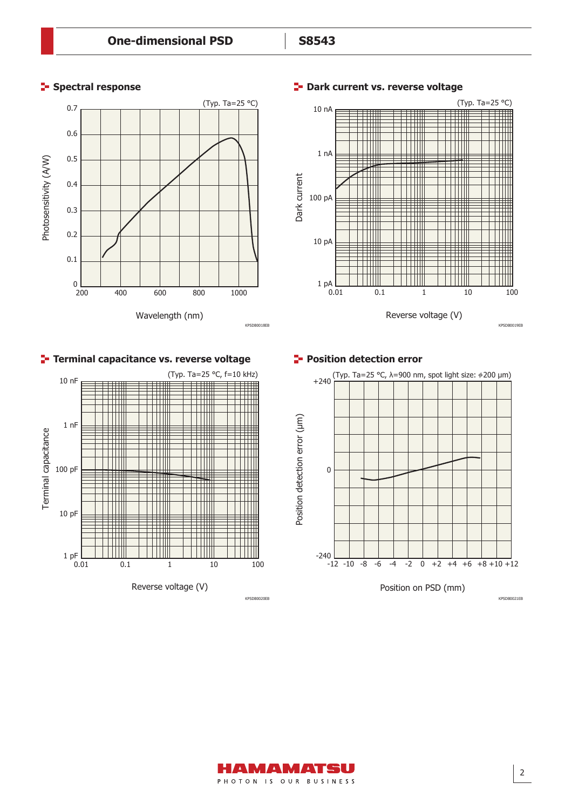0.01 0.1 1 10 100

Ш

l III

HII

 $1 \text{ pF}$ <sub>0.01</sub>

10 pF

100 pF

Terminal capacitance

Terminal capacitance

1 nF

HH

H

ПT

Ħ Ш

Ш

10 nF

Reverse voltage (V)



Ш

#### **Spectral response Dark current vs. reverse voltage**





(Typ. Ta=25 °C)

Ш